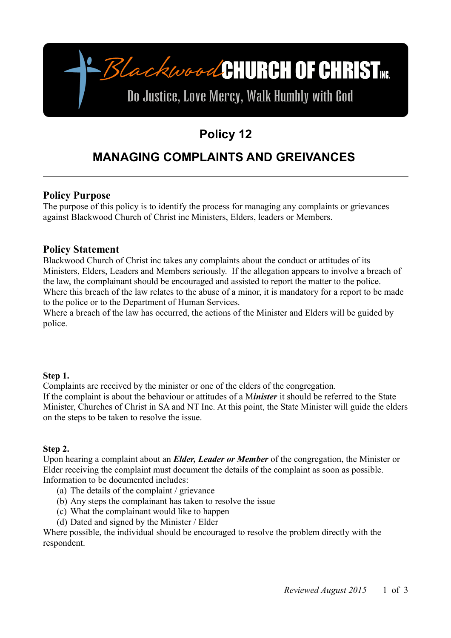-BlackwoodCHURCH OF CHRISTME Do Justice, Love Mercy, Walk Humbly with God

# **Policy 12**

# **MANAGING COMPLAINTS AND GREIVANCES**

## **Policy Purpose**

The purpose of this policy is to identify the process for managing any complaints or grievances against Blackwood Church of Christ inc Ministers, Elders, leaders or Members.

## **Policy Statement**

Blackwood Church of Christ inc takes any complaints about the conduct or attitudes of its Ministers, Elders, Leaders and Members seriously. If the allegation appears to involve a breach of the law, the complainant should be encouraged and assisted to report the matter to the police. Where this breach of the law relates to the abuse of a minor, it is mandatory for a report to be made to the police or to the Department of Human Services.

Where a breach of the law has occurred, the actions of the Minister and Elders will be guided by police.

### **Step 1.**

Complaints are received by the minister or one of the elders of the congregation. If the complaint is about the behaviour or attitudes of a M*inister* it should be referred to the State Minister, Churches of Christ in SA and NT Inc. At this point, the State Minister will guide the elders on the steps to be taken to resolve the issue.

### **Step 2.**

Upon hearing a complaint about an *Elder, Leader or Member* of the congregation, the Minister or Elder receiving the complaint must document the details of the complaint as soon as possible. Information to be documented includes:

- (a) The details of the complaint / grievance
- (b) Any steps the complainant has taken to resolve the issue
- (c) What the complainant would like to happen
- (d) Dated and signed by the Minister / Elder

Where possible, the individual should be encouraged to resolve the problem directly with the respondent.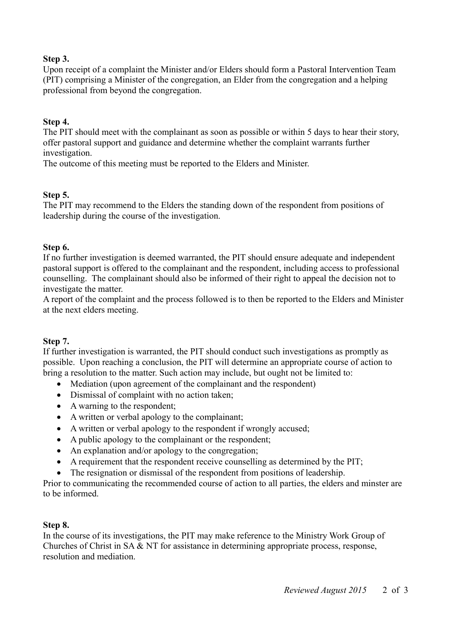#### **Step 3.**

Upon receipt of a complaint the Minister and/or Elders should form a Pastoral Intervention Team (PIT) comprising a Minister of the congregation, an Elder from the congregation and a helping professional from beyond the congregation.

#### **Step 4.**

The PIT should meet with the complainant as soon as possible or within 5 days to hear their story, offer pastoral support and guidance and determine whether the complaint warrants further investigation.

The outcome of this meeting must be reported to the Elders and Minister.

#### **Step 5.**

The PIT may recommend to the Elders the standing down of the respondent from positions of leadership during the course of the investigation.

#### **Step 6.**

If no further investigation is deemed warranted, the PIT should ensure adequate and independent pastoral support is offered to the complainant and the respondent, including access to professional counselling. The complainant should also be informed of their right to appeal the decision not to investigate the matter.

A report of the complaint and the process followed is to then be reported to the Elders and Minister at the next elders meeting.

### **Step 7.**

If further investigation is warranted, the PIT should conduct such investigations as promptly as possible. Upon reaching a conclusion, the PIT will determine an appropriate course of action to bring a resolution to the matter. Such action may include, but ought not be limited to:

- Mediation (upon agreement of the complainant and the respondent)
- Dismissal of complaint with no action taken;
- A warning to the respondent;
- A written or verbal apology to the complainant;
- A written or verbal apology to the respondent if wrongly accused;
- A public apology to the complainant or the respondent;
- An explanation and/or apology to the congregation;
- A requirement that the respondent receive counselling as determined by the PIT;
- The resignation or dismissal of the respondent from positions of leadership.

Prior to communicating the recommended course of action to all parties, the elders and minster are to be informed.

#### **Step 8.**

In the course of its investigations, the PIT may make reference to the Ministry Work Group of Churches of Christ in SA & NT for assistance in determining appropriate process, response, resolution and mediation.